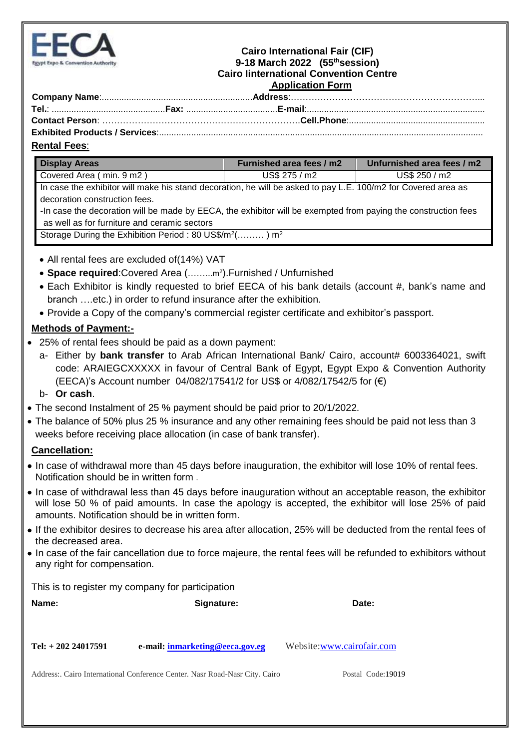

#### **Cairo International Fair (CIF) 9-18 March 2022 (55 thsession) Cairo Iinternational Convention Centre Application Form**

| <b>Dental Feas:</b> |  |  |  |
|---------------------|--|--|--|

#### **Rental Fees**:

| <b>Display Areas</b>                                                                                                        | <b>Furnished area fees / m2</b> | Unfurnished area fees / m2 |
|-----------------------------------------------------------------------------------------------------------------------------|---------------------------------|----------------------------|
| Covered Area (min. 9 m2)                                                                                                    | US\$ 275 / m2                   | US\$ 250 / m2              |
| In case the exhibitor will make his stand decoration, he will be asked to pay $\mathsf{I} \in \{00/m\}$ for Covered area as |                                 |                            |

exhibitor will make his stand decoration, he will be asked to pay L.E. 100/m2 for Cover decoration construction fees.

-In case the decoration will be made by EECA, the exhibitor will be exempted from paying the construction fees as well as for furniture and ceramic sectors

Storage During the Exhibition Period: 80 US\$/m<sup>2</sup>(.........) m<sup>2</sup>

- All rental fees are excluded of(14%) VAT
- **Space required**:Covered Area (……...m<sup>2</sup> ).Furnished / Unfurnished
- Each Exhibitor is kindly requested to brief EECA of his bank details (account #, bank's name and branch ….etc.) in order to refund insurance after the exhibition.
- Provide a Copy of the company's commercial register certificate and exhibitor's passport.

# **Methods of Payment:-**

- 25% of rental fees should be paid as a down payment:
	- a- Either by **bank transfer** to Arab African International Bank/ Cairo, account# 6003364021, swift code: ARAIEGCXXXXX in favour of Central Bank of Egypt, Egypt Expo & Convention Authority (EECA)'s Account number 04/082/17541/2 for US\$ or 4/082/17542/5 for (€)

## b- **Or cash**.

- The second Instalment of 25 % payment should be paid prior to 20/1/2022.
- The balance of 50% plus 25 % insurance and any other remaining fees should be paid not less than 3 weeks before receiving place allocation (in case of bank transfer).

## **Cancellation:**

- In case of withdrawal more than 45 days before inauguration, the exhibitor will lose 10% of rental fees. Notification should be in written form .
- In case of withdrawal less than 45 days before inauguration without an acceptable reason, the exhibitor will lose 50 % of paid amounts. In case the apology is accepted, the exhibitor will lose 25% of paid amounts. Notification should be in written form.
- If the exhibitor desires to decrease his area after allocation, 25% will be deducted from the rental fees of the decreased area.
- In case of the fair cancellation due to force majeure, the rental fees will be refunded to exhibitors without any right for compensation.

This is to register my company for participation

| Name:               | Signature:                                                                 | Date:                     |
|---------------------|----------------------------------------------------------------------------|---------------------------|
| Tel: $+20224017591$ | e-mail: inmarketing@eeca.gov.eg                                            | Website:www.cairofair.com |
|                     | Address: Cairo International Conference Center. Nasr Road-Nasr City. Cairo | Postal Code:19019         |